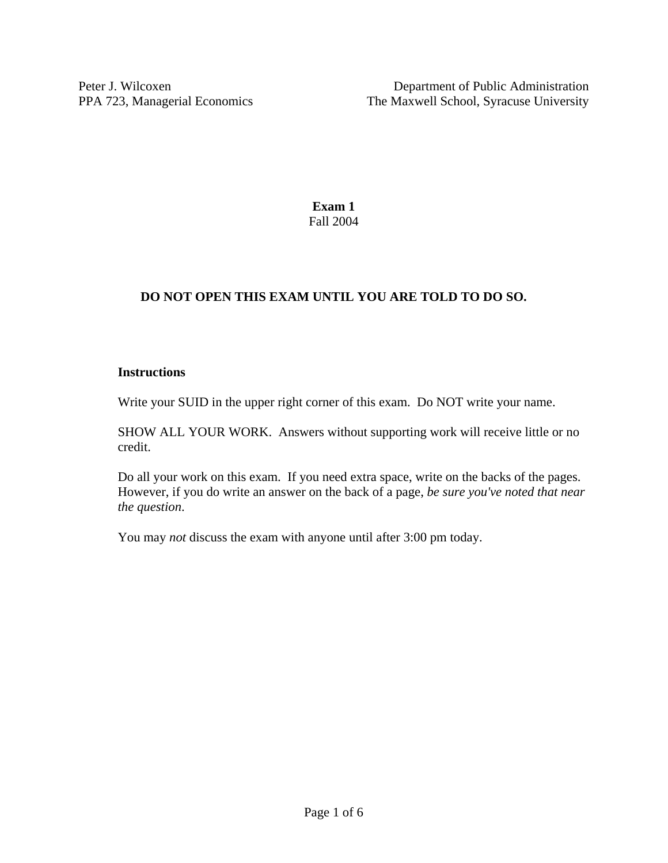**Exam 1**  Fall 2004

# **DO NOT OPEN THIS EXAM UNTIL YOU ARE TOLD TO DO SO.**

### **Instructions**

Write your SUID in the upper right corner of this exam. Do NOT write your name.

SHOW ALL YOUR WORK. Answers without supporting work will receive little or no credit.

Do all your work on this exam. If you need extra space, write on the backs of the pages. However, if you do write an answer on the back of a page, *be sure you've noted that near the question*.

You may *not* discuss the exam with anyone until after 3:00 pm today.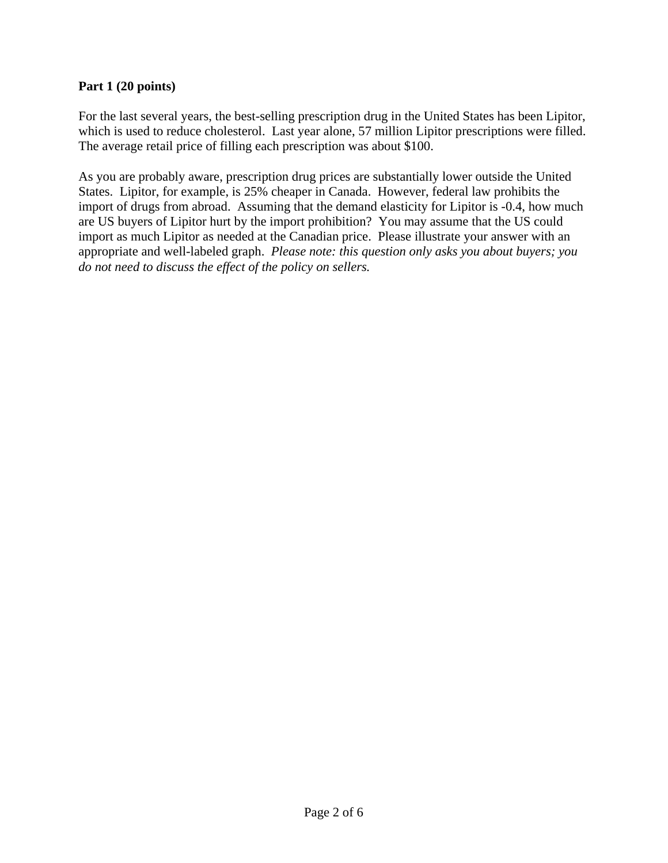#### **Part 1 (20 points)**

For the last several years, the best-selling prescription drug in the United States has been Lipitor, which is used to reduce cholesterol. Last year alone, 57 million Lipitor prescriptions were filled. The average retail price of filling each prescription was about \$100.

As you are probably aware, prescription drug prices are substantially lower outside the United States. Lipitor, for example, is 25% cheaper in Canada. However, federal law prohibits the import of drugs from abroad. Assuming that the demand elasticity for Lipitor is -0.4, how much are US buyers of Lipitor hurt by the import prohibition? You may assume that the US could import as much Lipitor as needed at the Canadian price. Please illustrate your answer with an appropriate and well-labeled graph. *Please note: this question only asks you about buyers; you do not need to discuss the effect of the policy on sellers.*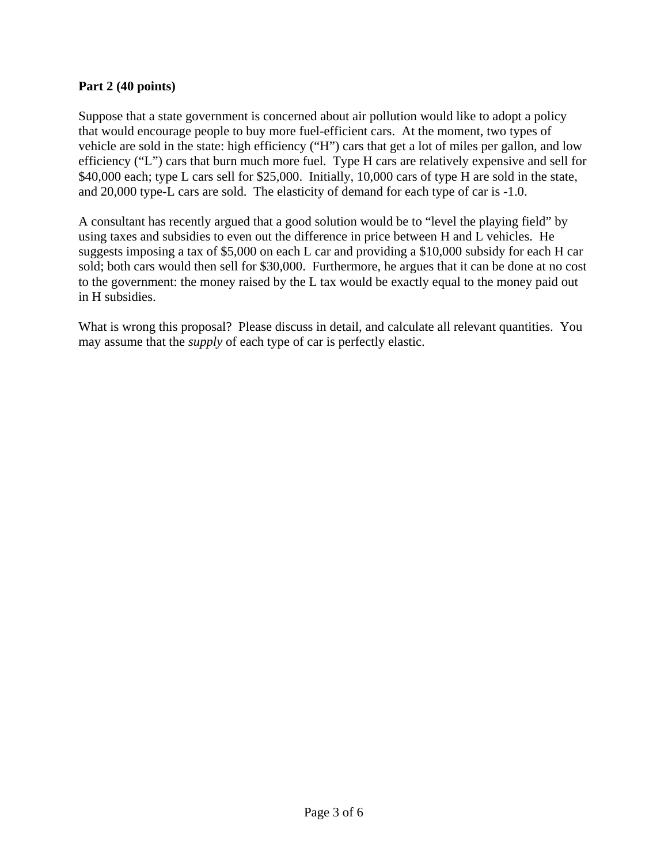#### **Part 2 (40 points)**

Suppose that a state government is concerned about air pollution would like to adopt a policy that would encourage people to buy more fuel-efficient cars. At the moment, two types of vehicle are sold in the state: high efficiency ("H") cars that get a lot of miles per gallon, and low efficiency ("L") cars that burn much more fuel. Type H cars are relatively expensive and sell for \$40,000 each; type L cars sell for \$25,000. Initially, 10,000 cars of type H are sold in the state, and 20,000 type-L cars are sold. The elasticity of demand for each type of car is -1.0.

A consultant has recently argued that a good solution would be to "level the playing field" by using taxes and subsidies to even out the difference in price between H and L vehicles. He suggests imposing a tax of \$5,000 on each L car and providing a \$10,000 subsidy for each H car sold; both cars would then sell for \$30,000. Furthermore, he argues that it can be done at no cost to the government: the money raised by the L tax would be exactly equal to the money paid out in H subsidies.

What is wrong this proposal? Please discuss in detail, and calculate all relevant quantities. You may assume that the *supply* of each type of car is perfectly elastic.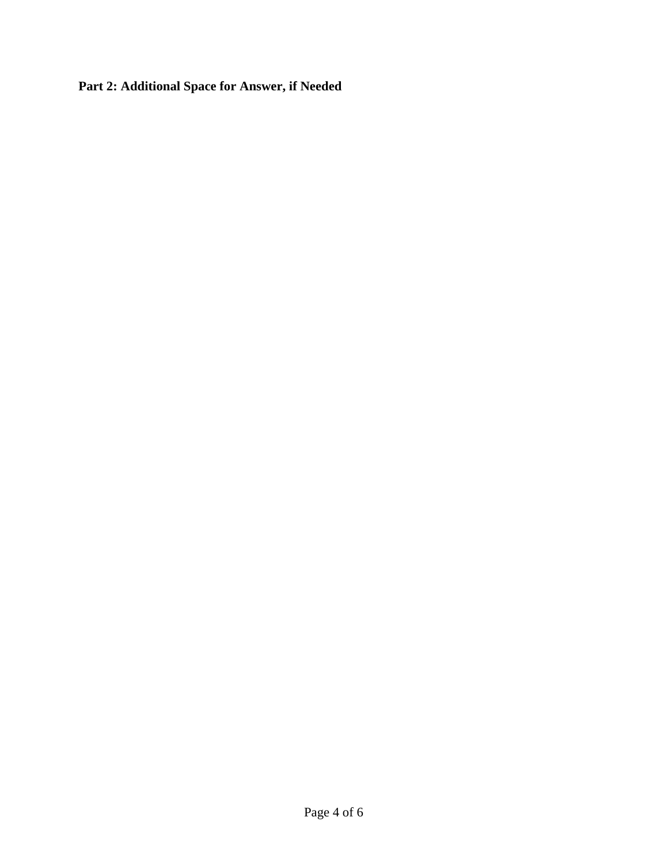**Part 2: Additional Space for Answer, if Needed**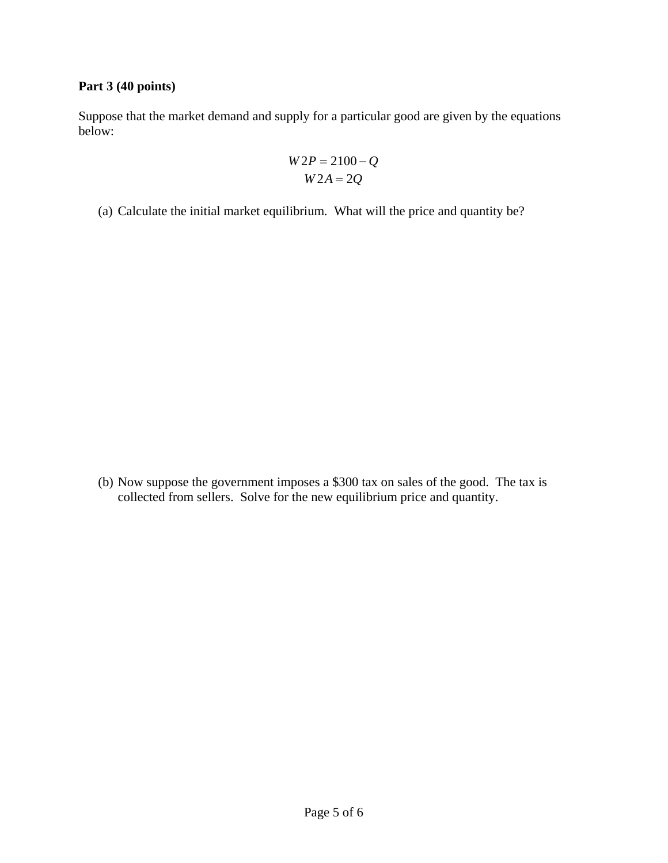## **Part 3 (40 points)**

Suppose that the market demand and supply for a particular good are given by the equations below:

$$
W2P = 2100 - Q
$$
  

$$
W2A = 2Q
$$

(a) Calculate the initial market equilibrium. What will the price and quantity be?

(b) Now suppose the government imposes a \$300 tax on sales of the good. The tax is collected from sellers. Solve for the new equilibrium price and quantity.